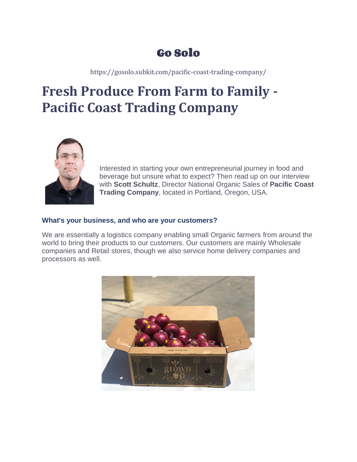# Go Solo

https://gosolo.subkit.com/pacific-coast-trading-company/

# **Fresh Produce From Farm to Family - Pacific Coast Trading Company**



Interested in starting your own entrepreneurial journey in food and beverage but unsure what to expect? Then read up on our interview with **Scott Schultz**, Director National Organic Sales of **Pacific Coast Trading Company**, located in Portland, Oregon, USA.

### **What's your business, and who are your customers?**

We are essentially a logistics company enabling small Organic farmers from around the world to bring their products to our customers. Our customers are mainly Wholesale companies and Retail stores, though we also service home delivery companies and processors as well.